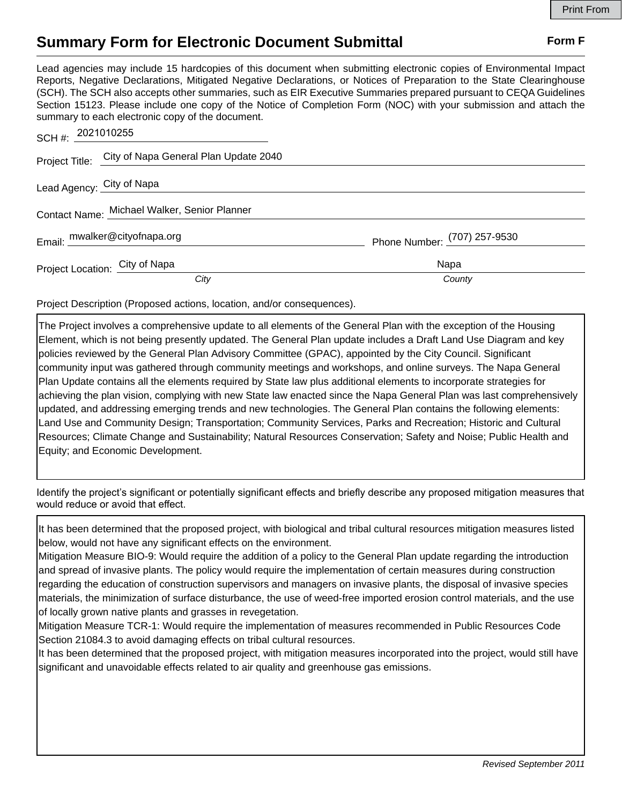## **Summary Form for Electronic Document Submittal Form F Form F**

Lead agencies may include 15 hardcopies of this document when submitting electronic copies of Environmental Impact Reports, Negative Declarations, Mitigated Negative Declarations, or Notices of Preparation to the State Clearinghouse (SCH). The SCH also accepts other summaries, such as EIR Executive Summaries prepared pursuant to CEQA Guidelines Section 15123. Please include one copy of the Notice of Completion Form (NOC) with your submission and attach the summary to each electronic copy of the document.

| SCH #: 2021010255                            |                                                      |                              |
|----------------------------------------------|------------------------------------------------------|------------------------------|
|                                              | Project Title: City of Napa General Plan Update 2040 |                              |
| Lead Agency: City of Napa                    |                                                      |                              |
| Contact Name: Michael Walker, Senior Planner |                                                      |                              |
|                                              | Email: mwalker@cityofnapa.org                        | Phone Number: (707) 257-9530 |
| Project Location: City of Napa               |                                                      | Napa                         |
|                                              | City                                                 | County                       |

Project Description (Proposed actions, location, and/or consequences).

The Project involves a comprehensive update to all elements of the General Plan with the exception of the Housing Element, which is not being presently updated. The General Plan update includes a Draft Land Use Diagram and key policies reviewed by the General Plan Advisory Committee (GPAC), appointed by the City Council. Significant community input was gathered through community meetings and workshops, and online surveys. The Napa General Plan Update contains all the elements required by State law plus additional elements to incorporate strategies for achieving the plan vision, complying with new State law enacted since the Napa General Plan was last comprehensively updated, and addressing emerging trends and new technologies. The General Plan contains the following elements: Land Use and Community Design; Transportation; Community Services, Parks and Recreation; Historic and Cultural Resources; Climate Change and Sustainability; Natural Resources Conservation; Safety and Noise; Public Health and Equity; and Economic Development.

Identify the project's significant or potentially significant effects and briefly describe any proposed mitigation measures that would reduce or avoid that effect.

It has been determined that the proposed project, with biological and tribal cultural resources mitigation measures listed below, would not have any significant effects on the environment.

Mitigation Measure BIO-9: Would require the addition of a policy to the General Plan update regarding the introduction and spread of invasive plants. The policy would require the implementation of certain measures during construction regarding the education of construction supervisors and managers on invasive plants, the disposal of invasive species materials, the minimization of surface disturbance, the use of weed-free imported erosion control materials, and the use of locally grown native plants and grasses in revegetation.

Mitigation Measure TCR-1: Would require the implementation of measures recommended in Public Resources Code Section 21084.3 to avoid damaging effects on tribal cultural resources.

It has been determined that the proposed project, with mitigation measures incorporated into the project, would still have significant and unavoidable effects related to air quality and greenhouse gas emissions.